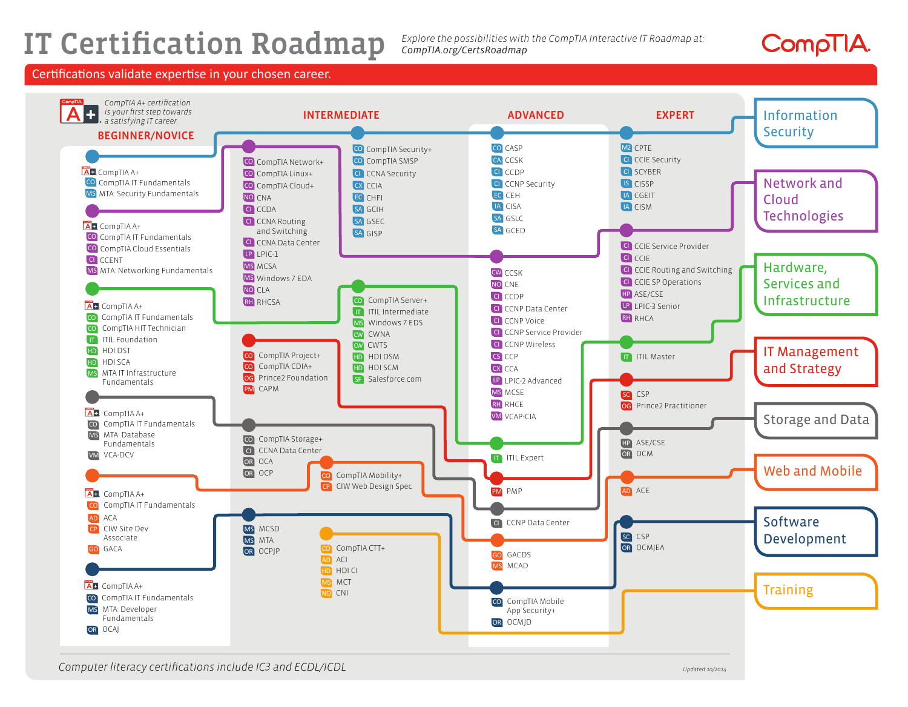# IT Certification Roadmap

*Explore the possibilities with the CompTIA Interactive IT Roadmap at: CompTIA.org/CertsRoadmap*



### Certifications validate expertise in your chosen career.

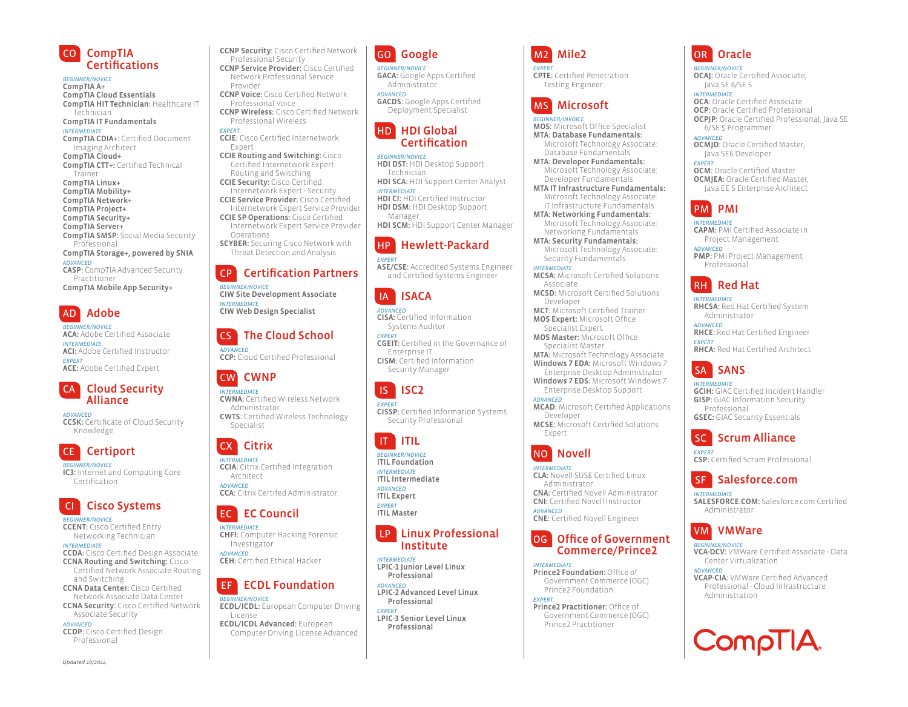

*BEGINNER/NOVICE* CompTIA A+ CompTIA Cloud Essentials CompTIA HIT Technician: Healthcare IT Technician

CompTIA IT Fundamentals *INTERMEDIATE* CompTIA CDIA+: Certified Document Imaging Architect CompTIA Cloud+ CompTIA CTT+: Certified Technical Trainer CompTIA Linux+ CompTIA Mobility+ CompTIA Network+ CompTIA Project+ CompTIA Security+ CompTIA Server+ CompTIA SMSP: Social Media Security Professional CompTIA Storage+, powered by SNIA *ADVANCED*

CASP: CompTIA Advanced Security Practitioner CompTIA Mobile App Security+

AD Adobe

*BEGINNER/NOVICE* ACA: Adobe Certified Associate *INTERMEDIATE* ACI: Adobe Certified Instructor *EXPERT* ACE: Adobe Certified Expert

### CA Cloud Security Alliance

*ADVANCED* CCSK: Certificate of Cloud Security Knowledge

## CE Certiport

*BEGINNER/NOVICE* IC3: Internet and Computing Core Certification

# CI Cisco Systems

*BEGINNER/NOVICE* CCENT: Cisco Certified Entry Networking Technician *INTERMEDIATE*

CCDA: Cisco Certified Design Associate CCNA Routing and Switching: Cisco Certified Network Associate Routing and Switching CCNA Data Center: Cisco Certified Network Associate Data Center

CCNA Security: Cisco Certified Network Associate Security *ADVANCED*

CCDP: Cisco Certified Design Professional

*Updated 10/2014*

Professional Security CCNP Service Provider: Cisco Certified Network Professional Service Provider CCNP Voice: Cisco Certified Network Professional Voice

CCNP Security: Cisco Certified Network

CCNP Wireless: Cisco Certified Network Professional Wireless

- *EXPERT* CCIE: Cisco Certified Internetwork Expert
- CCIE Routing and Switching: Cisco Certified Internetwork Expert Routing and Switching
- CCIE Security: Cisco Certified Internetwork Expert - Security
- CCIE Service Provider: Cisco Certified Internetwork Expert Service Provider
- CCIE SP Operations: Cisco Certified Internetwork Expert Service Provider Operations
- SCYBER: Securing Cisco Network with Threat Detection and Analysis

## CP Certification Partners

*BEGINNER/NOVICE* CIW Site Development Associate *INTERMEDIATE* CIW Web Design Specialist

## CS The Cloud School

*ADVANCED* CCP: Cloud Certified Professional

## CW CWNP

*INTERMEDIATE* CWNA: Certified Wireless Network Administrator CWTS: Certified Wireless Technology Specialist

## CX Citrix

*INTERMEDIATE* CCIA: Citrix Certified Integration Architect *ADVANCED* CCA: Citrix Certifed Administrator

## EC EC Council

*INTERMEDIATE* CHFI: Computer Hacking Forensic Investigator *ADVANCED* CEH: Certified Ethical Hacker

# **EF ECDL Foundation**

*BEGINNER/NOVICE* ECDL/ICDL: European Computer Driving License ECDL/ICDL Advanced: European

Computer Driving LIcense Advanced

# GO Google

*BEGINNER/NOVICE* GACA: Google Apps Certified Administrator

*ADVANCED* GACDS: Google Apps Certified Deployment Specialist

### HD HDI Global **Certification**

*BEGINNER/NOVICE* HDI DST: HDI Desktop Support

Technician HDI SCA: HDI Support Center Analyst *INTERMEDIATE*

### HDI CI: HDI Certified Instructor HDI DSM: HDI Desktop Support Manager

HDI SCM: HDI Support Center Manager

## HP Hewlett-Packard

*EXPERT* ASE/CSE: Accredited Systems Engineer and Certified Systems Engineer

# IA ISACA

*ADVANCED* CISA: Certified Information Systems Auditor

*EXPERT* CGEIT: Certified in the Governance of Enterprise IT CISM: Certified Information Security Manager

# IS ISC2

*EXPERT* CISSP: Certified Information Systems Security Professional

# IT ITIL

*BEGINNER/NOVICE* ITIL Foundation *INTERMEDIATE* ITIL Intermediate

*ADVANCED* ITIL Expert

*EXPERT* ITIL Master

### LP Linux Professional Institute

*INTERMEDIATE* LPIC-1 Junior Level Linux Professional

*ADVANCED* LPIC-2 Advanced Level Linux Professional

*EXPERT* LPIC-3 Senior Level Linux Professional

# M2 Mile2

*EXPERT* CPTE: Certified Penetration Testing Engineer

# MS Microsoft

*BEGINNER/INVOICE*

MOS: Microsoft Office Specialist MTA: Database Fundamentals: Microsoft Technology Associate: Database Fundamentals

MTA: Developer Fundamentals: Microsoft Technology Associate: Developer Fundamentals

- MTA IT Infrastructure Fundamentals: Microsoft Technology Associate: IT Infrastructure Fundamentals
- MTA: Networking Fundamentals: Microsoft Technology Associate: Networking Fundamentals

MTA: Security Fundamentals: Microsoft Technology Associate: Security Fundamentals

*INTERMEDIATE* MCSA: Microsoft Certified Solutions Associate MCSD: Microsoft Certified Solutions

Developer MCT: Microsoft Certified Trainer MOS Expert: Microsoft Office Specialist Expert

MOS Master: Microsoft Office Specialist Master

MTA: Microsoft Technology Associate Windows 7 EDA: Microsoft Windows 7

- Enterprise Desktop Administrator Windows 7 EDS: Microsoft Windows 7
- Enterprise Desktop Support *ADVANCED* MCAD: Microsoft Certified Applications Developer MCSE: Microsoft Certified Solutions
- Expert

# NO Novell

*INTERMEDIATE* CLA: Novell SUSE Certified Linux Administrator CNA: Certified Novell Administrator CNI: Certified Novell Instructor *ADVANCED* CNE: Certified Novell Engineer

## OG Office of Government Commerce/Prince2

*INTERMEDIATE* **Prince2 Foundation: Office of** Government Commerce (OGC) Prince2 Foundation

### *EXPERT*

Prince2 Practitioner: Office of Government Commerce (OGC) Prince2 Practitioner

# OR Oracle

*BEGINNER/NOVICE* OCAJ: Oracle Certified Associate, Java SE 6/SE 5

*INTERMEDIATE* OCA: Oracle Certified Associate OCP: Oracle Certified Professional

OCPJP: Oracle Certified Professional, Java SE 6/SE 5 Programmer *ADVANCED*

OCMJD: Oracle Certified Master, Java SE6 Developer

*EXPERT* OCM: Oracle Certified Master OCMJEA: Oracle Certified Master, Java EE 5 Enterprise Architect

# PM PMI

*INTERMEDIATE* CAPM: PMI Certified Associate in Project Management

*ADVANCED* PMP: PMI Project Management Professional

# RH Red Hat

*INTERMEDIATE* RHCSA: Red Hat Certified System Administrator

*ADVANCED* RHCE: Red Hat Certified Engineer *EXPERT*

RHCA: Red Hat Certified Architect

# SA SANS

*INTERMEDIATE* GCIH: GIAC Certified Incident Handler GISP: GIAC Information Security Professional GSEC: GIAC Security Essentials

## **Scrum Alliance**

*EXPERT* CSP: Certified Scrum Professional

# SF Salesforce.com

 VM VMWare *BEGINNER/NOVICE*

*ADVANCED*

Center Virtualization

Administration

*INTERMEDIATE* SALESFORCE.COM: Salesforce.com Certified Administrator

VCA-DCV: VMWare Certified Associate - Data

VCAP-CIA: VMWare Certified Advanced Professional - Cloud Infrastructure

CompTIA.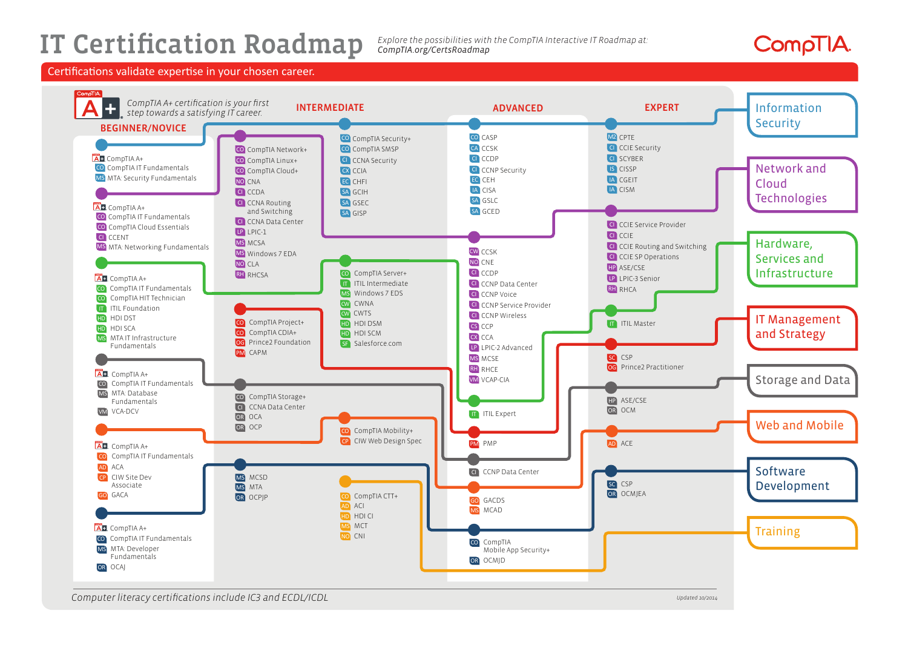# IT Certification Roadmap

*Explore the possibilities with the CompTIA Interactive IT Roadmap at: CompTIA.org/CertsRoadmap*

# CompTIA.

Certifications validate expertise in your chosen career.